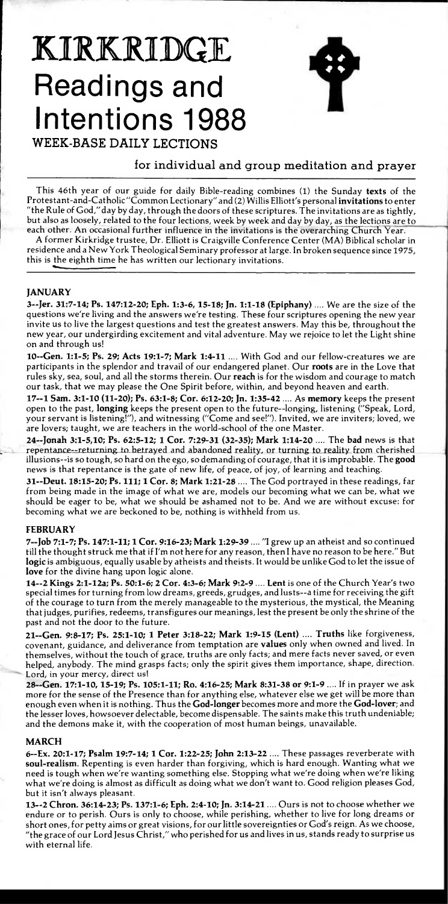# **KIRKRIDGE Readings and Intentions 1988**



**WEEK-BASE DAILY LECTIONS** 

# for individual and group meditation and prayer

This 46th year of our guide for daily Bible-reading combines (1) the Sunday **texts** of the Protestant-and-Catholic "Common Lectionary" and (2) Willis Elliott's personal **invitations** to enter "the Rule of God," day by day, through the doors of these scriptures. The invitations are as tightly but also as loosely, related to the four lections, week by week and day by day, as the lections are to each other. An occasional further influence in the invitations is the overarching Church Year.

A former Kirkridge trustee, Dr. Elliott is Craigville Conference Center (MA) Biblical scholar in residence and a New York Theological Seminary professor at large. In broken sequence since 1975, this is the eighth time he has written our lectionary invitations.

## **JANUARY**

**3--Jer. 31:7-14; Ps. 147:12-20; Eph. 1:3-6, 15-18; Jn. 1:1-18 (Epiphany) ....** We are the size of the questions we're living and the answers we're testing. These four scriptures opening the new year invite us to live the largest questions and test the greatest answers. May this be, throughout the new year, our undergirding excitement and vital adventure. May we rejoice to let the Light shine on and through us!

**10--Gen. 1:1 -5; Ps. 29; Acts 19:1 -7; Mark 1:4-11 ....** With God and our fellow-creatures we are participants in the splendor and travail of our endangered planet. Our **roots** are in the Love that rules sky, sea, soul, and all the storms therein. Our **reach** is for the wisdom and courage to match our task, that we may please the One Spirit before, within, and beyond heaven and earth.

**17--1 Sam. 3:1 -10 (11-20); Ps. 63:1-8; Cor. 6:12-20; Jn. 1:35-42 ....** As **memory** keeps the present open to the past, **longing** keeps the present open to the future--longing, listening ("Speak, Lord, your servant is listening!"), and witnessing ("Come and see!"). Invited, we are inviters; loved, we are lovers; taught, we are teachers in the world-school of the one Master.

**24--Jonah 3:1 -5,10; Ps. 62:5-12; 1 Cor. 7:29-31 (32-35); Mark 1:14-20 ....** The **bad** news is that repentance--returning to betrayed and abandoned reality, or turning to reality from cherished illusions--is so tough, so hard on the ego, so demanding of courage, that it is improbable. The **good**  news is that repentance is the gate of new life, of peace, of joy, of learning and teaching.

**31--Deut. 18:15-20; Ps. 111; 1 Cor. 8; Mark 1:21 -28 ....** The God portrayed in these readings, far from being made in the image of what we are, models our becoming what we can be, what we should be eager to be, what we should be ashamed not to be. And we are without excuse: for becoming what we are beckoned to be, nothing is withheld from us.

## **FEBRUARY**

**7--Job 7:1-7; Ps. 147:1-11; 1 Cor. 9:16-23; Mark 1:29-39 .... "I** grew up an atheist and so continued till the thought struck me that if I'm not here for any reason, then I have no reason to be here." But **logic** is ambiguous, equally usable by atheists and theists. It would be unlike God to let the issue of **love** for the divine hang upon logic alone.

**<sup>14</sup>-2 Kings 2:1-12a; Ps. 50:1-6; 2 Cor. 4:3-6; Mark 9:2-9 .... Lent** is one of the Church Year's two special times for turning from low dreams, greeds, grudges, and lusts--a time for receiving the gift of the courage to turn from the merely manageable to the mysterious, the mystical, the Meaning that judges, purifies, redeems, transfigures our meanings, lest the present be only the shrine of the past and not the door to the future.

**21--Gen. 9:8-17; Ps. 25:1-10; 1 Peter 3:18 -22; Mark 1:9-15 (Lent) .... Truths** like forgiveness, covenant, guidance, and deliverance from temptation are **values** only when owned and lived. In themselves, without the touch of grace, truths are only facts; and mere facts never saved, or even helped, anybody. The mind grasps facts; only the spirit gives them importance, shape, direction. Lord, in your mercy, direct us!

**28--Gen. 17:1-10, 15-19; Ps. 105:1-11; Ro. 4:16-25; Mark 8:31-38 or 9:1-9 ....** If in prayer we ask more for the sense of the Presence than for anything else, whatever else we get will be more than enough even when it is nothing. Thus the **God-longer** becomes more and more the **God-lover;** and the lesser loves, howsoever delectable, become dispensable. The saints make this truth undeniable; and the demons make it, with the cooperation of most human beings, unavailable.

## **MARCH**

**6--Ex. 20:1-17; Psalm 19:7-14; 1 Cor. 1:22-25; John 2:13-22 ....** These passages reverberate with **soul-realism.** Repenting is even harder than forgiving, which is hard enough. Wanting what we need is tough when we're wanting something else. Stopping what we're doing when we're liking what we're doing is almost as difficult as doing what we don't want to. Good religion pleases God, but it isn't always pleasant.

**13--2 Chron. 36:14-23; Ps. 137:1 -6; Eph. 2:4-10; Jn. 3:14-21 ....** Ours is not to choose whether we endure or to perish. Ours is only to choose, while perishing, whether to live for long dreams or short ones, for petty aims or great visions, for our little sovereignties or God's reign. As we choose, "the grace of our Lord Jesus Christ," who perished for us and lives in us, stands ready to surprise us with eternal life.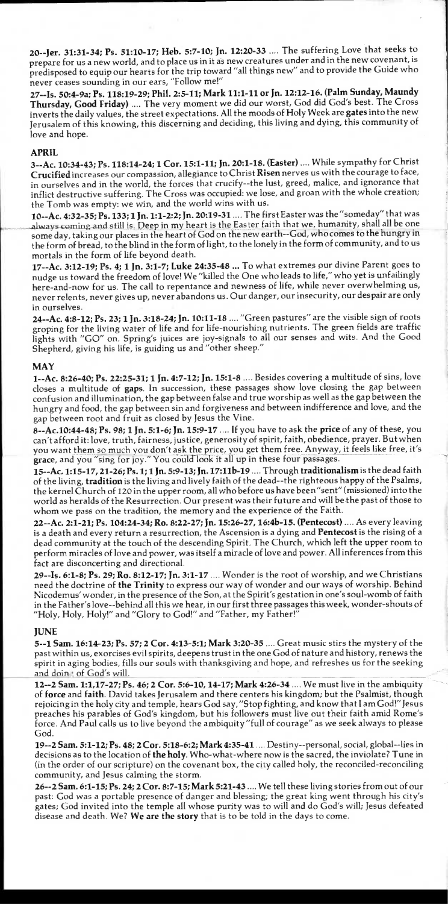**20--Jer. 31:31-34; Ps. 51:10-17; Heb. 5:7-10; Jn. 12:20-33 ....** The suffering Love that seeks to prepare for us a new world, and to place us in it as new creatures under and in the new covenant, is predisposed to equip our hearts for the trip toward "all things new" and to provide the Guide who never ceases sounding in our ears, "Follow me!"

**27--Is. 50:4-9a; Ps. 118:19-29; Phil. 2:5-11; Mark 11:1-11 or Jn. 12:12-16. (Palm Sunday, Maundy Thursday, Good Friday) ....** The very moment we did our worst, God did God's best. The Cross inverts the daily values, the street expectations. All the moods of Holy Week are **gates** into the new Jerusalem of this knowing, this discerning and deciding, this living and dying, this community of love and hope.

## **APRIL**

**3--Ac. 10:34-43; Ps. 118:14-24; 1 Cor. 15:1-11; Jn. 20:1-18. (Easter) ....** While sympathy for Christ **Crucified** increases our compassion, allegiance to Christ **Risen** nerves us with the courage to face, in ourselves and in the world, the forces that crucify--the lust, greed, malice, and ignorance that inflict destructive suffering. The Cross was occupied: we lose, and groan with the whole creation; the Tomb was empty: we win, and the world wins with us.

**10--Ac. 4:32 -35; Ps. 133; 1 Jn. 1:1 -2:2; Jn. 20:19 -31 ....** The first Easter was the"someday" that was always coming and still is. Deep in my heart is the Easter faith that we, humanity, shall all be one some day, taking our places in the heart of God on the new earth--God, who comes to the hungry in the form of bread, to the blind in the form of light, to the lonely in the form of community, and to us mortals in the form of life beyond death.

**17--Ac. 3:12 -19; Ps. 4; 1 Jn. 3:1 -7; Luke 24:35 -48 ...** To what extremes our divine Parent goes to nudge us toward the freedom of love! We "killed the One who leads to life," who yet is unfailingly here-and-now for us. The call to repentance and newness of life, while never overwhelming us, never relents, never gives up, never abandons us. Our danger, our insecurity, our despair are only in ourselves.

**24--Ac. 4:8 -12; Ps. 23; 1 Jn. 3:18 -24; Jn. 10:11-18 ....** "Green pastures" are the visible sign of roots groping for the living water of life and for life-nourishing nutrients. The green fields are traffic lights with "GO" on. Spring's juices are joy-signals to all our senses and wits. And the Good Shepherd, giving his life, is guiding us and "other sheep."

## **MAY**

**1--Ac. 8:26-40; Ps. 22:25-31; 1 Jn. 4:7-12; Jn. 15:1-8 ....** Besides covering a multitude of sins, love closes a multitude of **gaps.** In succession, these passages show love closing the gap between confusion and illumination, the gap between false and true worship as well as the gap between the hungry and food, the gap between sin and forgiveness and between indifference and love, and the gap between root and fruit as closed by Jesus the Vine.

**8--Ac.10:44-48; Ps. 98; 1 Jn. 5:1-6; Jn. 15:9 -17 ....** If you have to ask the **price** of any of these, you can't afford it: love, truth, fairness, justice, generosity of spirit, faith, obedience, prayer. But when you want them so much you don't ask the price, you get them free. Anyway, it feels like free, it's grace, and you "sing for joy." You could look it all up in these four passages.

**15--Ac. 1:15-17, 21-26; Ps. 1; 1 Jn. 5:9 -13; Jn. 17:11b-19 ....** Through **traditionalism** is the dead faith of the living, **tradition** is the living and lively faith of the dead--the righteous happy of the Psalms, the kernel Church of 120 in the upper room, all who before us have been"sent" (missioned) into the world as heralds of the Resurrection. Our present was their future and will be the past of those to whom we pass on the tradition, the memory and the experience of the Faith.

**22--Ac. 2:1-21; Ps. 104:24 -34; Ro. 8:22-27; Jn. 15:26-27, 16:4b-15. (Pentecost) ....** As every leaving is a death and every return a resurrection, the Ascension is a dying and **Pentecost** is the rising of a dead community at the touch of the descending Spirit. The Church, which left the upper room to perform miracles of love and power, was itself a miracle of love and power. All inferences from this fact are disconcerting and directional.

**29--Is. 6:1 -8; Ps. 29; Ro. 8:12 -17; In. 3:1 -17 ....** Wonder is the root of worship, and we Christians need the doctrine of **the Trinity** to express our way of wonder and our ways of worship. Behind Nicodemus' wonder, in the presence of the Son, at the Spirit's gestation in one's soul-womb of faith in the Father's love--behind all this we hear, in our first three passages this week, wonder-shouts of "Holy, Holy, Holy!" and "Glory to God!" and "Father, my Father!"

## **JUNE**

**5--1 Sam. 16:14-23; Ps. 57; 2 Cor. 4:13-5:1; Mark 3:20-35 ....** Great music stirs the mystery of the past within us, exorcises evil spirits, deepens trust in the one God of nature and history, renews the spirit in aging bodies, fills our souls with thanksgiving and hope, and refreshes us for the seeking and doing of God's will.

**12--2 Sam. 1:1,17-27; Ps. 46; 2 Cor. 5:6 -10, 14-17; Mark 4:26-34 ....** We must live in the ambiguity of **force** and **faith.** David takes Jerusalem and there centers his kingdom; but the Psalmist, though rejoicing in the holy city and temple, hears God say, "Stop fighting, and know that I am God!" Jesus preaches his parables of God's kingdom, but his followets must live out their faith amid Rome's force. And Paul calls us to live beyond the ambiguity "full of courage" as we seek always to please God.

**19--2 Sam. 5:1 -12; Ps. 48; 2 Cor. 5:18-6:2; Mark 4:35 -41 ....** Destiny--personal, social, global--lies in decisions as to the location of **the holy.** Who-what-where now is the sacred, the inviolate? Tune in (in the order of our scripture) on the covenant box, the city called holy, the reconciled-reconciling community, and Jesus calming the storm.

**26--2 Sam. 6:1 -15; Ps. 24; 2 Cor. 8:7-15; Mark 5:21 -43 ....** We tell these living stories from out of our past: God was a portable presence of danger and blessing; the great king went through his city's gates; God invited into the temple all whose purity was to will and do God's will; Jesus defeated disease and death. We? **We are the story** that is to be told in the days to come.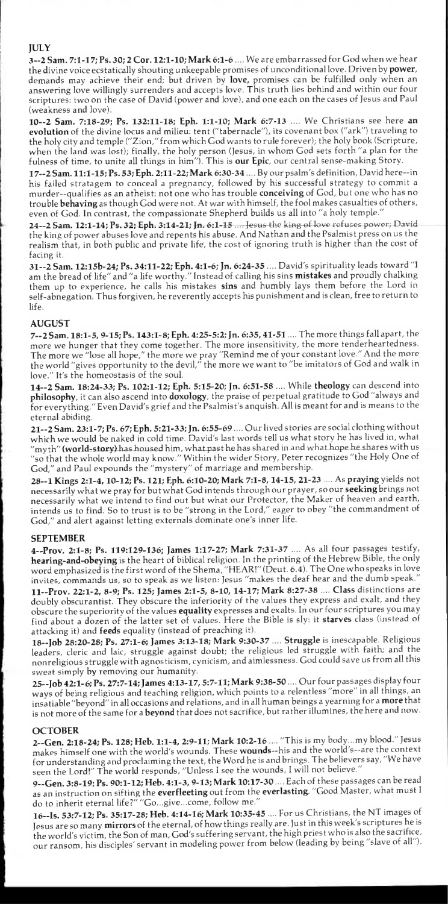## **JULY**

**<sup>1</sup>3--2 Sam. 7:1-17; Ps. 30; 2 Cor. 12:1-10; Mark 6:1-6 ....** We are embarrassed for God when we hear the divine voice ecstatically shouting unkeepable promises of unconditional love. Driven by **power,**  demands may achieve their end; but driven by **love,** promises can be fulfilled only when an answering love willingly surrenders and accepts love. This truth lies behind and within our four scriptures: two on the case of David (power and love), and one each on the cases of Jesus and Paul (weakness and love).

**10--2 Sam. 7:18-29; Ps. 132:11 -18; Eph. 1:1 -10; Mark 6:7-13 ....** We Christians see here **an evolution** of the divine locus and milieu: tent ("tabernacle"), its covenant box ("ark") traveling to the holy city and temple ("Zion," from which God wants to rule forever); the holy book (Scripture, when the land was lost); finally, the holy person (Jesus, in whom God sets forth "a plan for the fulness of time, to unite all things in him"). This is **our Epic,** our central sense-making Story.

**17--2 Sam. 11:1 -15; Ps. 53; Eph. 2:11 -22; Mark 6:30-34 ....** By our psalm's definition, David here--in his failed stratagem to conceal a pregnancy, followed by his successful strategy to commit a murder--qualifies as an atheist: not one who has trouble **conceiving** of God, but one who has no trouble **behaving** as though God were not. At war with himself, the fool makes casualties of others, even of God. In contrast, the compassionate Shepherd builds us all into "a holy temple."

24--2 Sam. 12:1-14; Ps. 32; Eph. 3:14-21; Jn. 6:1-15 .... Jesus the king of love refuses power; David the king of power abuses love and repents his abuse. And Nathan and the Psalmist press on us the realism that, in both public and private life, the cost of ignoring truth is higher than the cost of facing it.

**31--2 Sam. 12:15b-24; Ps. 34:11-22; Eph. 4:1 -6; In. 6:24-35 ....** David's spirituality leads toward "I am the bread of life" and "a life worthy." Instead of calling his sins **mistakes** and proudly chalking them up to experience, he calls his mistakes **sins** and humbly lays them before the Lord in self-abnegation. Thus forgiven, he reverently accepts his punishment and is clean, free to return to life.

## **AUGUST**

**7--2 Sam. 18:1-5, 9-15; Ps. 143:1-8; Eph. 4:25-5:2; In. 6:35, 41-51 ....** The more things fall apart, the more we hunger that they come together. The more insensitivity, the more tenderheartedness. The more we "lose all hope," the more we pray "Remind me of your constant love." And the more the world "gives opportunity to the devil," the more we want to "be imitators of God and walk in love." It's the homeostasis of the soul.

**14--2 Sam. 18:24 -33; Ps. 102:1 -12; Eph. 5:15-20; Jn. 6:51-58 ....** While **theology** can descend into **philosophy,** it can also ascend into **doxology,** the praise of perpetual gratitude to God "always and for everything." Even David's grief and the Psalmist's anguish. All is meant for and is means to the eternal abiding.

**21--2 Sam. 23:1 -7; Ps. 67; Eph. 5:21 -33; In. 6:55-69 ....** Our lived stories are social clothing without which we would be naked in cold time. David's last words tell us what story he has lived in, what which we would be haked in cold time. David's last words ten us what story he has lived in, what<br>"myth" **(world-story)** has housed him, what past he has shared in and what hope he shares with us "so that the whole world may know." Within the wider Story, Peter recognizes "the Holy One of God," and Paul expounds the "mystery" of marriage and membership.

**28--1 Kings 2:1 -4, 10-12; Ps. 121; Eph. 6:10 -20; Mark 7:1 -8, 14-15, 21-23 ....** As **praying** yields not necessarily what we pray for but what God intends through our prayer, so our **seeking** brings not necessarily what we intend to find out but what our Protector, the Maker of heaven and earth, intends us to find. So to trust is to be "strong in the Lord," eager to obey "the commandment of God," and alert against letting externals dominate one's inner life.

## **SEPTEMBER**

**4--Prov. 2:1-8; Ps. 119:129-136; James 1:17-27; Mark 7:31-37 ....** As all four passages testify, **hearing-and-obeying** is the heart of biblical religion. In the printing of the Hebrew Bible, the only word emphasized is the first word of the Shema, "HEAR!" (Deut. 6.4). The One who speaks in love invites, commands us, so to speak as we listen: Jesus "makes the deaf hear and the dumb speak." **11--Prov. 22:1 -2, 8-9; Ps. 125; James 2:1 -5, 8-10, 14-17; Mark 8:27-38 .... Class** distinctions are doubly obscurantist. They obscure the inferiority of the values they express and exalt, and they obscure the superiority of the values **equality** expresses and exalts. In our four scriptures you may find about a dozen of the latter set of values. Here the Bible is sly: it **starves** class (instead of attacking it) and **feeds** equality (instead of preaching it).

**18--Job 28:20-28; Ps. 27:1 -6; James 3:13-18; Mark 9:30-37 .... Struggle** is inescapable. Religious leaders, cleric and laic, struggle against doubt; the religious led struggle with faith; and the nonreligious struggle with agnosticism, cynicism, and aimlessness. God could save us from all this sweat simply by removing our humanity.

**25--Job 42:1-6; Ps. 27:7-14; James 4:13-17, 5:7-11; Mark 9:38-50 ....** Our four passages display four ways of being religious and teaching religion, which points to a relentless "more" in all things, an insatiable "beyond" in all occasions and relations, and in all human beings a yearning for a **more** that is not more of the same for a **beyond** that does not sacrifice, but rather illumines, the here and now.

#### **OCTOBER**

**2--Gen. 2:18-24; Ps. 128; Heb. 1:1-4, 2:9-11; Mark 10:2-16 ....** "This is my body...my blood." Jesus makes himself one with the world's wounds. These **wounds--his** and the world's--are the context for understanding and proclaiming the text, the Word he is and brings. The believers say, "We have seen the Lord!" The world responds, "Unless I see the wounds, I will not believe."

**9--Gen. 3:8-19; Ps. 90:1 -12; Heb. 4:1 -3, 9-13; Mark 10:17-30 ....** Each of these passages can be read as an instruction on sifting the **everfleeting** out from the **everlasting.** "Good Master, what must I do to inherit eternal life?" "Go...give...come, follow me."

**16--Is. 53:7-12; Ps. 35:17-28; Heb. 4:14-16; Mark 10:35 -45 ....** For us Christians, the NT images of Jesus are so many **mirrors** of the eternal, of how things really are. Just in this week's scriptures he is the world's victim, the Son of man, God's suffering servant, the high priest who is also the sacrifice, our ransom, his disciples' servant in modeling power from below (leading by being "slave of all").